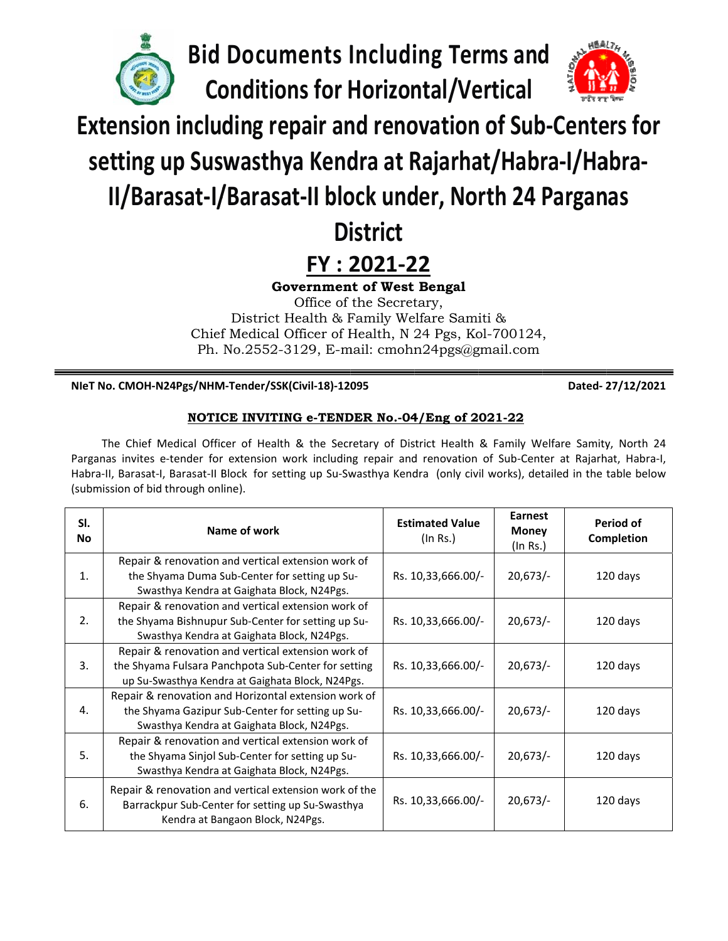**Bid Docum ments I Includi ing Ter rms and**

**Co onditio ns for H Horizon ntal/Ve ertical**



**including Terms and <br>
<b>Extension including repair and renovation of Sub-Centers for**<br> **Extension including repair and renovation of Sub-Centers for** 

# **s setting up Sus wasthy ya Kend dra at R Rajarha at/Habr ra‐I/Ha abra‐**

# **II/Bar rasat‐I/ /Barasa at‐II blo ock und der, No rth 24 Pargan nas**

# **Di istrict**

# **FY : 2 2021‐2 22**

Government of West Bengal

Chief Medical Officer of Health, N 24 Pgs, Kol-700124, Ph. No.2552-3129, E-mail: cmohn24pgs@gmail.com District Health & Family Welfare Samiti & Office of the Secretary,

## **NIeT No. CMOH‐N N24Pgs/NHM M‐Tender/SSK K(Civil‐18)‐120 095**

 **Dated‐ 2 27/12/2021**

# **NOTIC CE INVITIN NG e-TEND DER No.-04 4/Eng of 2 021-22**

Parganas invites e-tender for extension work including repair and renovation of Sub-Center at Rajarhat, Habra-I, Habra-II, Barasat-I, Barasat-II Block for setting up Su-Swasthya Kendra (only civil works), detailed in the table below (submission of bid through online). The Chief Medical Officer of Health & the Secretary of District Health & Family Welfare Samity, North 24

| SI.<br><b>No</b> | Name of work                                                                                        | <b>Estimated Value</b><br>(In Rs.) | Earnest<br><b>Money</b><br>(In Rs.) | Period of<br>Completion |
|------------------|-----------------------------------------------------------------------------------------------------|------------------------------------|-------------------------------------|-------------------------|
| 1.               | Repair & renovation and vertical extension work of<br>the Shyama Duma Sub-Center for setting up Su- | Rs. 10,33,666.00/-                 | 20,673/                             | 120 days                |
|                  | Swasthya Kendra at Gaighata Block, N24Pgs.                                                          |                                    |                                     |                         |
| 2.               | Repair & renovation and vertical extension work of                                                  |                                    |                                     |                         |
|                  | the Shyama Bishnupur Sub-Center for setting up Su-<br>Swasthya Kendra at Gaighata Block, N24Pgs.    | Rs. 10,33,666.00/-                 | 20,673/                             | 120 days                |
| $\overline{3}$ . | Repair & renovation and vertical extension work of                                                  |                                    |                                     |                         |
|                  | the Shyama Fulsara Panchpota Sub-Center for setting                                                 | Rs. 10,33,666.00/-                 | 20,673/                             | 120 days                |
|                  | up Su-Swasthya Kendra at Gaighata Block, N24Pgs.                                                    |                                    |                                     |                         |
| 4.               | Repair & renovation and Horizontal extension work of                                                |                                    |                                     |                         |
|                  | the Shyama Gazipur Sub-Center for setting up Su-<br>Swasthya Kendra at Gaighata Block, N24Pgs.      | Rs. 10,33,666.00/-                 | 20,673/                             | 120 days                |
| 5.               | Repair & renovation and vertical extension work of                                                  |                                    |                                     |                         |
|                  | the Shyama Sinjol Sub-Center for setting up Su-                                                     | Rs. 10,33,666.00/-                 | 20,673/                             | 120 days                |
|                  | Swasthya Kendra at Gaighata Block, N24Pgs.                                                          |                                    |                                     |                         |
| 6.               | Repair & renovation and vertical extension work of the                                              | Rs. 10,33,666.00/-                 | 20,673/                             | 120 days                |
|                  | Barrackpur Sub-Center for setting up Su-Swasthya<br>Kendra at Bangaon Block, N24Pgs.                |                                    |                                     |                         |
|                  |                                                                                                     |                                    |                                     |                         |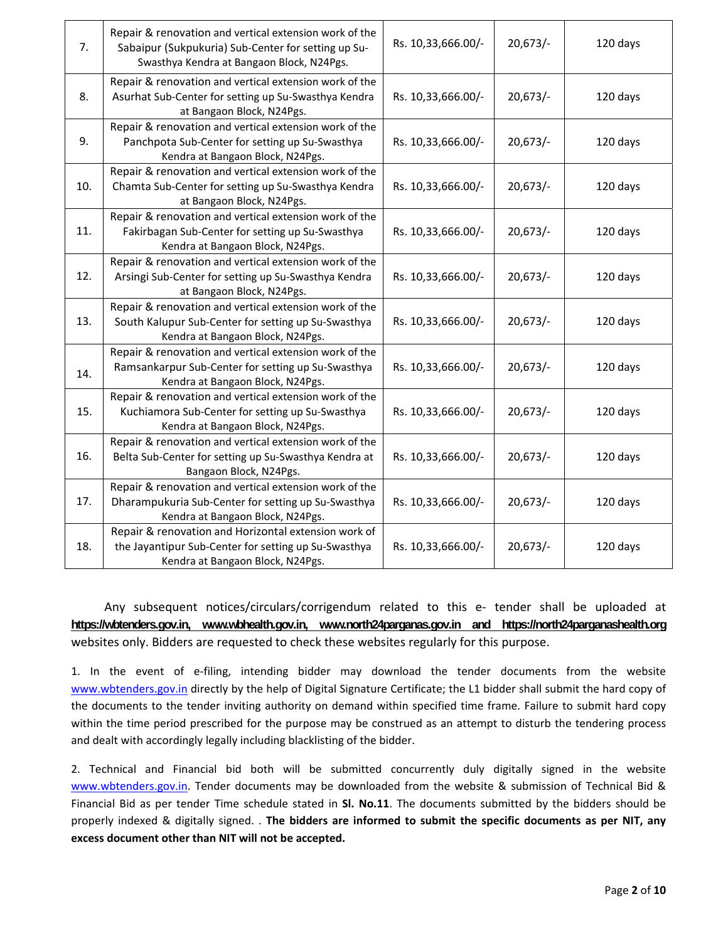| 7.  | Repair & renovation and vertical extension work of the<br>Sabaipur (Sukpukuria) Sub-Center for setting up Su-<br>Swasthya Kendra at Bangaon Block, N24Pgs. | Rs. 10,33,666.00/- | 20,673/ | 120 days |
|-----|------------------------------------------------------------------------------------------------------------------------------------------------------------|--------------------|---------|----------|
| 8.  | Repair & renovation and vertical extension work of the<br>Asurhat Sub-Center for setting up Su-Swasthya Kendra<br>at Bangaon Block, N24Pgs.                | Rs. 10,33,666.00/- | 20,673/ | 120 days |
| 9.  | Repair & renovation and vertical extension work of the<br>Panchpota Sub-Center for setting up Su-Swasthya<br>Kendra at Bangaon Block, N24Pgs.              | Rs. 10,33,666.00/- | 20,673/ | 120 days |
| 10. | Repair & renovation and vertical extension work of the<br>Chamta Sub-Center for setting up Su-Swasthya Kendra<br>at Bangaon Block, N24Pgs.                 | Rs. 10,33,666.00/- | 20,673/ | 120 days |
| 11. | Repair & renovation and vertical extension work of the<br>Fakirbagan Sub-Center for setting up Su-Swasthya<br>Kendra at Bangaon Block, N24Pgs.             | Rs. 10,33,666.00/- | 20,673/ | 120 days |
| 12. | Repair & renovation and vertical extension work of the<br>Arsingi Sub-Center for setting up Su-Swasthya Kendra<br>at Bangaon Block, N24Pgs.                | Rs. 10,33,666.00/- | 20,673/ | 120 days |
| 13. | Repair & renovation and vertical extension work of the<br>South Kalupur Sub-Center for setting up Su-Swasthya<br>Kendra at Bangaon Block, N24Pgs.          | Rs. 10,33,666.00/- | 20,673/ | 120 days |
| 14. | Repair & renovation and vertical extension work of the<br>Ramsankarpur Sub-Center for setting up Su-Swasthya<br>Kendra at Bangaon Block, N24Pgs.           | Rs. 10,33,666.00/- | 20,673/ | 120 days |
| 15. | Repair & renovation and vertical extension work of the<br>Kuchiamora Sub-Center for setting up Su-Swasthya<br>Kendra at Bangaon Block, N24Pgs.             | Rs. 10,33,666.00/- | 20,673/ | 120 days |
| 16. | Repair & renovation and vertical extension work of the<br>Belta Sub-Center for setting up Su-Swasthya Kendra at<br>Bangaon Block, N24Pgs.                  | Rs. 10,33,666.00/- | 20,673/ | 120 days |
| 17. | Repair & renovation and vertical extension work of the<br>Dharampukuria Sub-Center for setting up Su-Swasthya<br>Kendra at Bangaon Block, N24Pgs.          | Rs. 10,33,666.00/- | 20,673/ | 120 days |
| 18. | Repair & renovation and Horizontal extension work of<br>the Jayantipur Sub-Center for setting up Su-Swasthya<br>Kendra at Bangaon Block, N24Pgs.           | Rs. 10,33,666.00/- | 20,673/ | 120 days |

Any subsequent notices/circulars/corrigendum related to this e- tender shall be uploaded at **https://wbtenders.gov.in, www.wbhealth.gov.in, www.north24parganas.gov.in and https://north24parganashealth.org** websites only. Bidders are requested to check these websites regularly for this purpose.

1. In the event of e‐filing, intending bidder may download the tender documents from the website www.wbtenders.gov.in directly by the help of Digital Signature Certificate; the L1 bidder shall submit the hard copy of the documents to the tender inviting authority on demand within specified time frame. Failure to submit hard copy within the time period prescribed for the purpose may be construed as an attempt to disturb the tendering process and dealt with accordingly legally including blacklisting of the bidder.

2. Technical and Financial bid both will be submitted concurrently duly digitally signed in the website www.wbtenders.gov.in. Tender documents may be downloaded from the website & submission of Technical Bid & Financial Bid as per tender Time schedule stated in **Sl. No.11**. The documents submitted by the bidders should be properly indexed & digitally signed. . **The bidders are informed to submit the specific documents as per NIT, any excess document other than NIT will not be accepted.**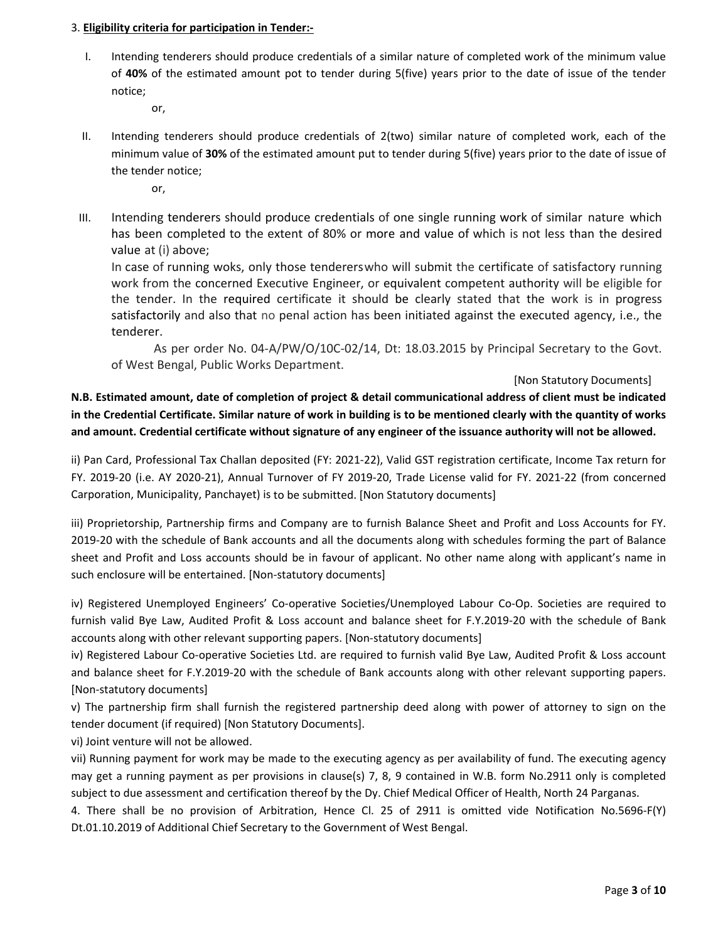#### 3. **Eligibility criteria for participation in Tender:‐**

I. Intending tenderers should produce credentials of a similar nature of completed work of the minimum value of **40%** of the estimated amount pot to tender during 5(five) years prior to the date of issue of the tender notice;

or,

- II. Intending tenderers should produce credentials of 2(two) similar nature of completed work, each of the minimum value of **30%** of the estimated amount put to tender during 5(five) years prior to the date of issue of the tender notice;
	- or,
- III. Intending tenderers should produce credentials of one single running work of similar nature which has been completed to the extent of 80% or more and value of which is not less than the desired value at (i) above;

In case of running woks, only those tendererswho will submit the certificate of satisfactory running work from the concerned Executive Engineer, or equivalent competent authority will be eligible for the tender. In the required certificate it should be clearly stated that the work is in progress satisfactorily and also that no penal action has been initiated against the executed agency, i.e., the tenderer.

 As per order No. 04‐A/PW/O/10C‐02/14, Dt: 18.03.2015 by Principal Secretary to the Govt. of West Bengal, Public Works Department.

#### [Non Statutory Documents]

N.B. Estimated amount, date of completion of project & detail communicational address of client must be indicated in the Credential Certificate. Similar nature of work in building is to be mentioned clearly with the quantity of works and amount. Credential certificate without signature of any engineer of the issuance authority will not be allowed.

ii) Pan Card, Professional Tax Challan deposited (FY: 2021‐22), Valid GST registration certificate, Income Tax return for FY. 2019‐20 (i.e. AY 2020‐21), Annual Turnover of FY 2019‐20, Trade License valid for FY. 2021‐22 (from concerned Carporation, Municipality, Panchayet) is to be submitted. [Non Statutory documents]

iii) Proprietorship, Partnership firms and Company are to furnish Balance Sheet and Profit and Loss Accounts for FY. 2019-20 with the schedule of Bank accounts and all the documents along with schedules forming the part of Balance sheet and Profit and Loss accounts should be in favour of applicant. No other name along with applicant's name in such enclosure will be entertained. [Non-statutory documents]

iv) Registered Unemployed Engineers' Co‐operative Societies/Unemployed Labour Co‐Op. Societies are required to furnish valid Bye Law, Audited Profit & Loss account and balance sheet for F.Y.2019-20 with the schedule of Bank accounts along with other relevant supporting papers. [Non‐statutory documents]

iv) Registered Labour Co‐operative Societies Ltd. are required to furnish valid Bye Law, Audited Profit & Loss account and balance sheet for F.Y.2019-20 with the schedule of Bank accounts along with other relevant supporting papers. [Non‐statutory documents]

v) The partnership firm shall furnish the registered partnership deed along with power of attorney to sign on the tender document (if required) [Non Statutory Documents].

vi) Joint venture will not be allowed.

vii) Running payment for work may be made to the executing agency as per availability of fund. The executing agency may get a running payment as per provisions in clause(s) 7, 8, 9 contained in W.B. form No.2911 only is completed subject to due assessment and certification thereof by the Dy. Chief Medical Officer of Health, North 24 Parganas.

4. There shall be no provision of Arbitration, Hence Cl. 25 of 2911 is omitted vide Notification No.5696‐F(Y) Dt.01.10.2019 of Additional Chief Secretary to the Government of West Bengal.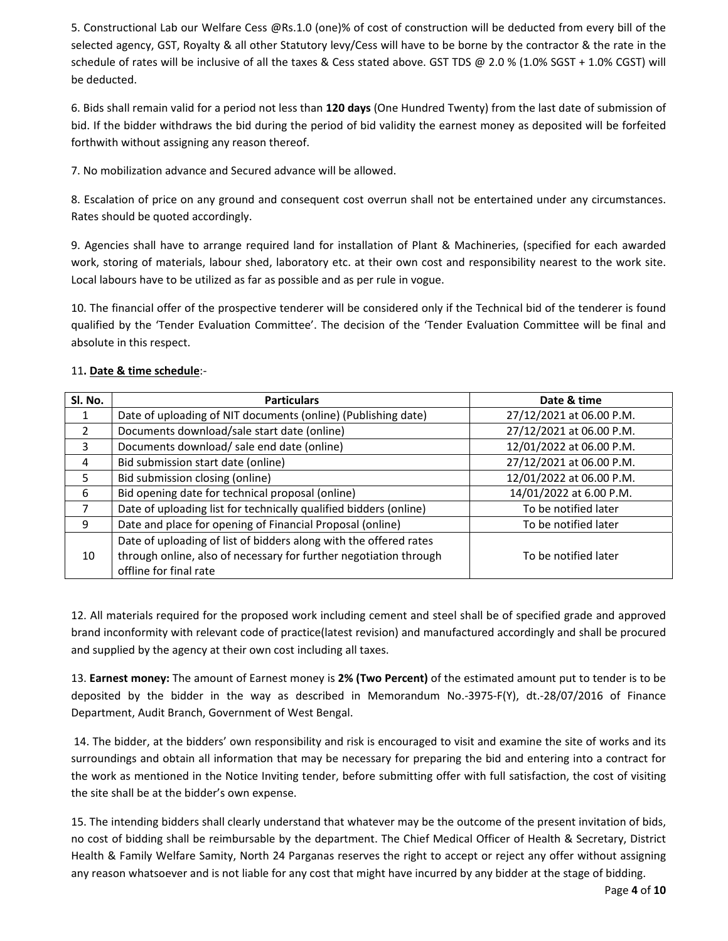5. Constructional Lab our Welfare Cess @Rs.1.0 (one)% of cost of construction will be deducted from every bill of the selected agency, GST, Royalty & all other Statutory levy/Cess will have to be borne by the contractor & the rate in the schedule of rates will be inclusive of all the taxes & Cess stated above. GST TDS @ 2.0 % (1.0% SGST + 1.0% CGST) will be deducted.

6. Bids shall remain valid for a period not less than **120 days** (One Hundred Twenty) from the last date of submission of bid. If the bidder withdraws the bid during the period of bid validity the earnest money as deposited will be forfeited forthwith without assigning any reason thereof.

7. No mobilization advance and Secured advance will be allowed.

8. Escalation of price on any ground and consequent cost overrun shall not be entertained under any circumstances. Rates should be quoted accordingly.

9. Agencies shall have to arrange required land for installation of Plant & Machineries, (specified for each awarded work, storing of materials, labour shed, laboratory etc. at their own cost and responsibility nearest to the work site. Local labours have to be utilized as far as possible and as per rule in vogue.

10. The financial offer of the prospective tenderer will be considered only if the Technical bid of the tenderer is found qualified by the 'Tender Evaluation Committee'. The decision of the 'Tender Evaluation Committee will be final and absolute in this respect.

| SI. No.        | <b>Particulars</b>                                                                                                                                               | Date & time              |
|----------------|------------------------------------------------------------------------------------------------------------------------------------------------------------------|--------------------------|
|                | Date of uploading of NIT documents (online) (Publishing date)                                                                                                    | 27/12/2021 at 06.00 P.M. |
| $\overline{2}$ | Documents download/sale start date (online)                                                                                                                      | 27/12/2021 at 06.00 P.M. |
| 3              | Documents download/ sale end date (online)                                                                                                                       | 12/01/2022 at 06.00 P.M. |
| 4              | Bid submission start date (online)                                                                                                                               | 27/12/2021 at 06.00 P.M. |
| 5              | Bid submission closing (online)                                                                                                                                  | 12/01/2022 at 06.00 P.M. |
| 6              | Bid opening date for technical proposal (online)                                                                                                                 | 14/01/2022 at 6.00 P.M.  |
|                | Date of uploading list for technically qualified bidders (online)                                                                                                | To be notified later     |
| 9              | Date and place for opening of Financial Proposal (online)                                                                                                        | To be notified later     |
| 10             | Date of uploading of list of bidders along with the offered rates<br>through online, also of necessary for further negotiation through<br>offline for final rate | To be notified later     |

### 11**. Date & time schedule**:‐

12. All materials required for the proposed work including cement and steel shall be of specified grade and approved brand inconformity with relevant code of practice(latest revision) and manufactured accordingly and shall be procured and supplied by the agency at their own cost including all taxes.

13. **Earnest money:** The amount of Earnest money is **2% (Two Percent)** of the estimated amount put to tender is to be deposited by the bidder in the way as described in Memorandum No.‐3975‐F(Y), dt.‐28/07/2016 of Finance Department, Audit Branch, Government of West Bengal.

14. The bidder, at the bidders' own responsibility and risk is encouraged to visit and examine the site of works and its surroundings and obtain all information that may be necessary for preparing the bid and entering into a contract for the work as mentioned in the Notice Inviting tender, before submitting offer with full satisfaction, the cost of visiting the site shall be at the bidder's own expense.

15. The intending bidders shall clearly understand that whatever may be the outcome of the present invitation of bids, no cost of bidding shall be reimbursable by the department. The Chief Medical Officer of Health & Secretary, District Health & Family Welfare Samity, North 24 Parganas reserves the right to accept or reject any offer without assigning any reason whatsoever and is not liable for any cost that might have incurred by any bidder at the stage of bidding.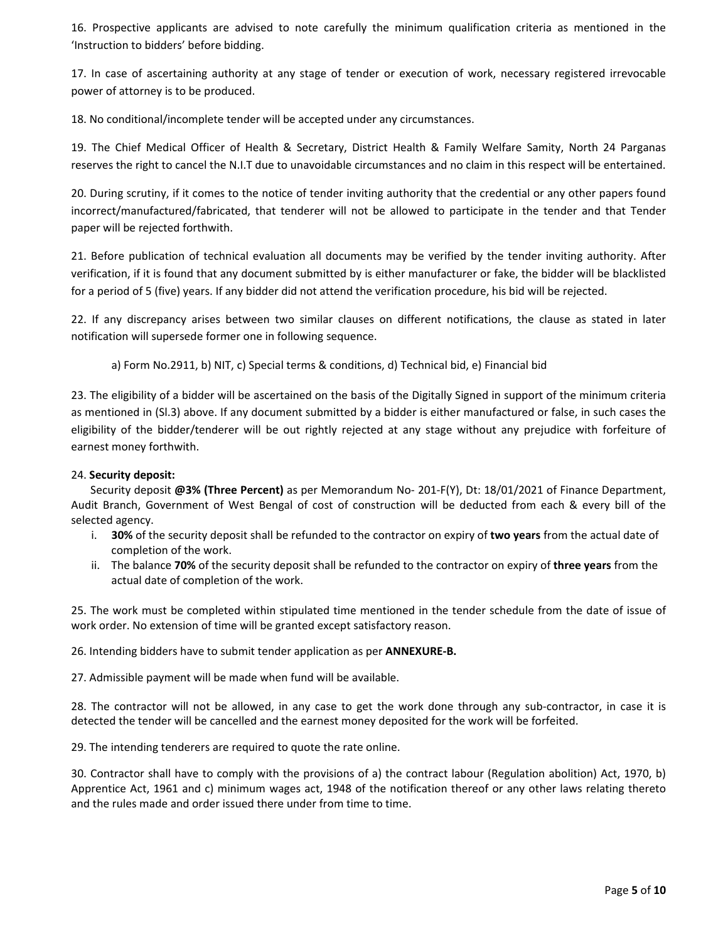16. Prospective applicants are advised to note carefully the minimum qualification criteria as mentioned in the 'Instruction to bidders' before bidding.

17. In case of ascertaining authority at any stage of tender or execution of work, necessary registered irrevocable power of attorney is to be produced.

18. No conditional/incomplete tender will be accepted under any circumstances.

19. The Chief Medical Officer of Health & Secretary, District Health & Family Welfare Samity, North 24 Parganas reserves the right to cancel the N.I.T due to unavoidable circumstances and no claim in this respect will be entertained.

20. During scrutiny, if it comes to the notice of tender inviting authority that the credential or any other papers found incorrect/manufactured/fabricated, that tenderer will not be allowed to participate in the tender and that Tender paper will be rejected forthwith.

21. Before publication of technical evaluation all documents may be verified by the tender inviting authority. After verification, if it is found that any document submitted by is either manufacturer or fake, the bidder will be blacklisted for a period of 5 (five) years. If any bidder did not attend the verification procedure, his bid will be rejected.

22. If any discrepancy arises between two similar clauses on different notifications, the clause as stated in later notification will supersede former one in following sequence.

a) Form No.2911, b) NIT, c) Special terms & conditions, d) Technical bid, e) Financial bid

23. The eligibility of a bidder will be ascertained on the basis of the Digitally Signed in support of the minimum criteria as mentioned in (Sl.3) above. If any document submitted by a bidder is either manufactured or false, in such cases the eligibility of the bidder/tenderer will be out rightly rejected at any stage without any prejudice with forfeiture of earnest money forthwith.

#### 24. **Security deposit:**

 Security deposit **@3% (Three Percent)** as per Memorandum No‐ 201‐F(Y), Dt: 18/01/2021 of Finance Department, Audit Branch, Government of West Bengal of cost of construction will be deducted from each & every bill of the selected agency.

- i. **30%** of the security deposit shall be refunded to the contractor on expiry of **two years** from the actual date of completion of the work.
- ii. The balance **70%** of the security deposit shall be refunded to the contractor on expiry of **three years** from the actual date of completion of the work.

25. The work must be completed within stipulated time mentioned in the tender schedule from the date of issue of work order. No extension of time will be granted except satisfactory reason.

26. Intending bidders have to submit tender application as per **ANNEXURE‐B.**

27. Admissible payment will be made when fund will be available.

28. The contractor will not be allowed, in any case to get the work done through any sub-contractor, in case it is detected the tender will be cancelled and the earnest money deposited for the work will be forfeited.

29. The intending tenderers are required to quote the rate online.

30. Contractor shall have to comply with the provisions of a) the contract labour (Regulation abolition) Act, 1970, b) Apprentice Act, 1961 and c) minimum wages act, 1948 of the notification thereof or any other laws relating thereto and the rules made and order issued there under from time to time.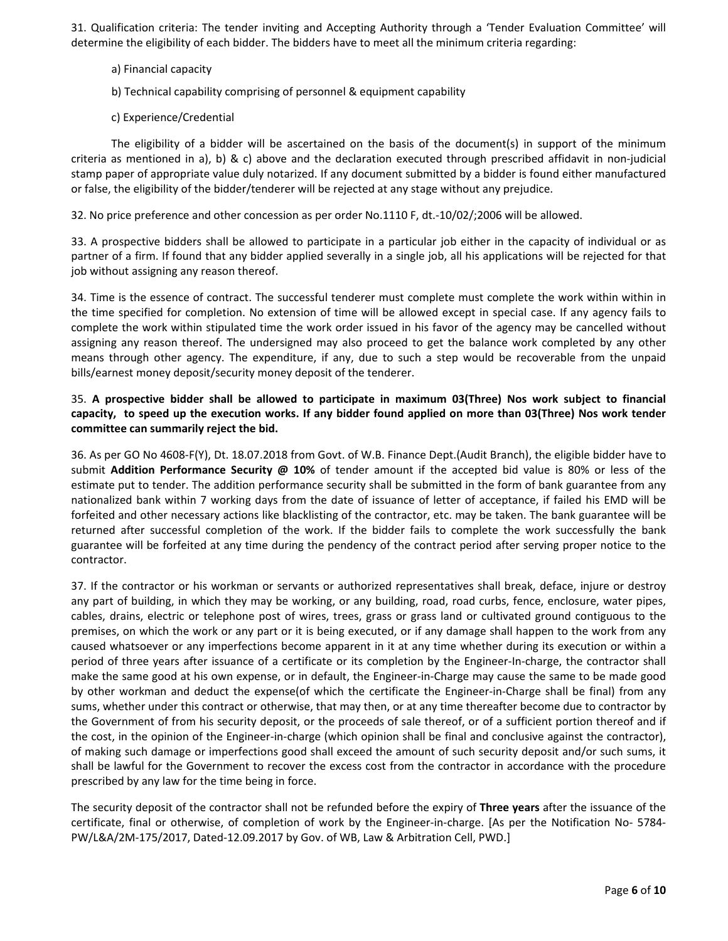31. Qualification criteria: The tender inviting and Accepting Authority through a 'Tender Evaluation Committee' will determine the eligibility of each bidder. The bidders have to meet all the minimum criteria regarding:

- a) Financial capacity
- b) Technical capability comprising of personnel & equipment capability
- c) Experience/Credential

The eligibility of a bidder will be ascertained on the basis of the document(s) in support of the minimum criteria as mentioned in a), b) & c) above and the declaration executed through prescribed affidavit in non-judicial stamp paper of appropriate value duly notarized. If any document submitted by a bidder is found either manufactured or false, the eligibility of the bidder/tenderer will be rejected at any stage without any prejudice.

32. No price preference and other concession as per order No.1110 F, dt.‐10/02/;2006 will be allowed.

33. A prospective bidders shall be allowed to participate in a particular job either in the capacity of individual or as partner of a firm. If found that any bidder applied severally in a single job, all his applications will be rejected for that job without assigning any reason thereof.

34. Time is the essence of contract. The successful tenderer must complete must complete the work within within in the time specified for completion. No extension of time will be allowed except in special case. If any agency fails to complete the work within stipulated time the work order issued in his favor of the agency may be cancelled without assigning any reason thereof. The undersigned may also proceed to get the balance work completed by any other means through other agency. The expenditure, if any, due to such a step would be recoverable from the unpaid bills/earnest money deposit/security money deposit of the tenderer.

#### 35. **A prospective bidder shall be allowed to participate in maximum 03(Three) Nos work subject to financial** capacity, to speed up the execution works. If any bidder found applied on more than 03(Three) Nos work tender **committee can summarily reject the bid.**

36. As per GO No 4608‐F(Y), Dt. 18.07.2018 from Govt. of W.B. Finance Dept.(Audit Branch), the eligible bidder have to submit **Addition Performance Security @ 10%** of tender amount if the accepted bid value is 80% or less of the estimate put to tender. The addition performance security shall be submitted in the form of bank guarantee from any nationalized bank within 7 working days from the date of issuance of letter of acceptance, if failed his EMD will be forfeited and other necessary actions like blacklisting of the contractor, etc. may be taken. The bank guarantee will be returned after successful completion of the work. If the bidder fails to complete the work successfully the bank guarantee will be forfeited at any time during the pendency of the contract period after serving proper notice to the contractor.

37. If the contractor or his workman or servants or authorized representatives shall break, deface, injure or destroy any part of building, in which they may be working, or any building, road, road curbs, fence, enclosure, water pipes, cables, drains, electric or telephone post of wires, trees, grass or grass land or cultivated ground contiguous to the premises, on which the work or any part or it is being executed, or if any damage shall happen to the work from any caused whatsoever or any imperfections become apparent in it at any time whether during its execution or within a period of three years after issuance of a certificate or its completion by the Engineer‐In‐charge, the contractor shall make the same good at his own expense, or in default, the Engineer‐in‐Charge may cause the same to be made good by other workman and deduct the expense(of which the certificate the Engineer‐in‐Charge shall be final) from any sums, whether under this contract or otherwise, that may then, or at any time thereafter become due to contractor by the Government of from his security deposit, or the proceeds of sale thereof, or of a sufficient portion thereof and if the cost, in the opinion of the Engineer‐in‐charge (which opinion shall be final and conclusive against the contractor), of making such damage or imperfections good shall exceed the amount of such security deposit and/or such sums, it shall be lawful for the Government to recover the excess cost from the contractor in accordance with the procedure prescribed by any law for the time being in force.

The security deposit of the contractor shall not be refunded before the expiry of **Three years** after the issuance of the certificate, final or otherwise, of completion of work by the Engineer-in-charge. [As per the Notification No- 5784-PW/L&A/2M‐175/2017, Dated‐12.09.2017 by Gov. of WB, Law & Arbitration Cell, PWD.]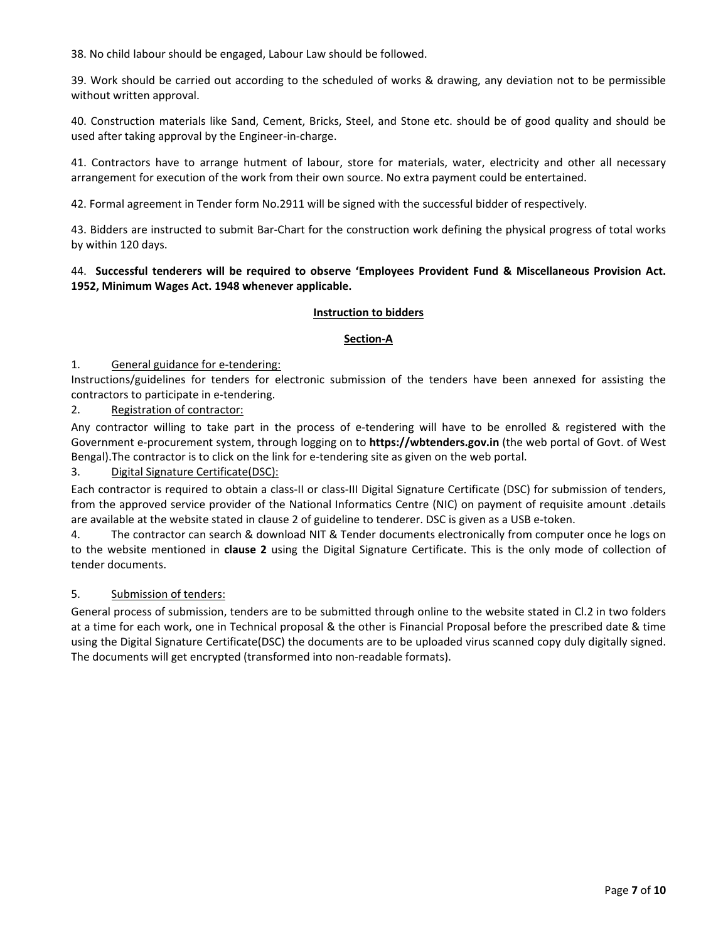38. No child labour should be engaged, Labour Law should be followed.

39. Work should be carried out according to the scheduled of works & drawing, any deviation not to be permissible without written approval.

40. Construction materials like Sand, Cement, Bricks, Steel, and Stone etc. should be of good quality and should be used after taking approval by the Engineer‐in‐charge.

41. Contractors have to arrange hutment of labour, store for materials, water, electricity and other all necessary arrangement for execution of the work from their own source. No extra payment could be entertained.

42. Formal agreement in Tender form No.2911 will be signed with the successful bidder of respectively.

43. Bidders are instructed to submit Bar‐Chart for the construction work defining the physical progress of total works by within 120 days.

#### 44. **Successful tenderers will be required to observe 'Employees Provident Fund & Miscellaneous Provision Act. 1952, Minimum Wages Act. 1948 whenever applicable.**

#### **Instruction to bidders**

#### **Section‐A**

#### 1. General guidance for e-tendering:

Instructions/guidelines for tenders for electronic submission of the tenders have been annexed for assisting the contractors to participate in e‐tendering.

#### 2. Registration of contractor:

Any contractor willing to take part in the process of e‐tendering will have to be enrolled & registered with the Government e‐procurement system, through logging on to **https://wbtenders.gov.in** (the web portal of Govt. of West Bengal). The contractor is to click on the link for e-tendering site as given on the web portal.

#### 3. Digital Signature Certificate(DSC):

Each contractor is required to obtain a class-II or class-III Digital Signature Certificate (DSC) for submission of tenders, from the approved service provider of the National Informatics Centre (NIC) on payment of requisite amount .details are available at the website stated in clause 2 of guideline to tenderer. DSC is given as a USB e-token.

4. The contractor can search & download NIT & Tender documents electronically from computer once he logs on to the website mentioned in **clause 2** using the Digital Signature Certificate. This is the only mode of collection of tender documents.

#### 5. Submission of tenders:

General process of submission, tenders are to be submitted through online to the website stated in Cl.2 in two folders at a time for each work, one in Technical proposal & the other is Financial Proposal before the prescribed date & time using the Digital Signature Certificate(DSC) the documents are to be uploaded virus scanned copy duly digitally signed. The documents will get encrypted (transformed into non‐readable formats).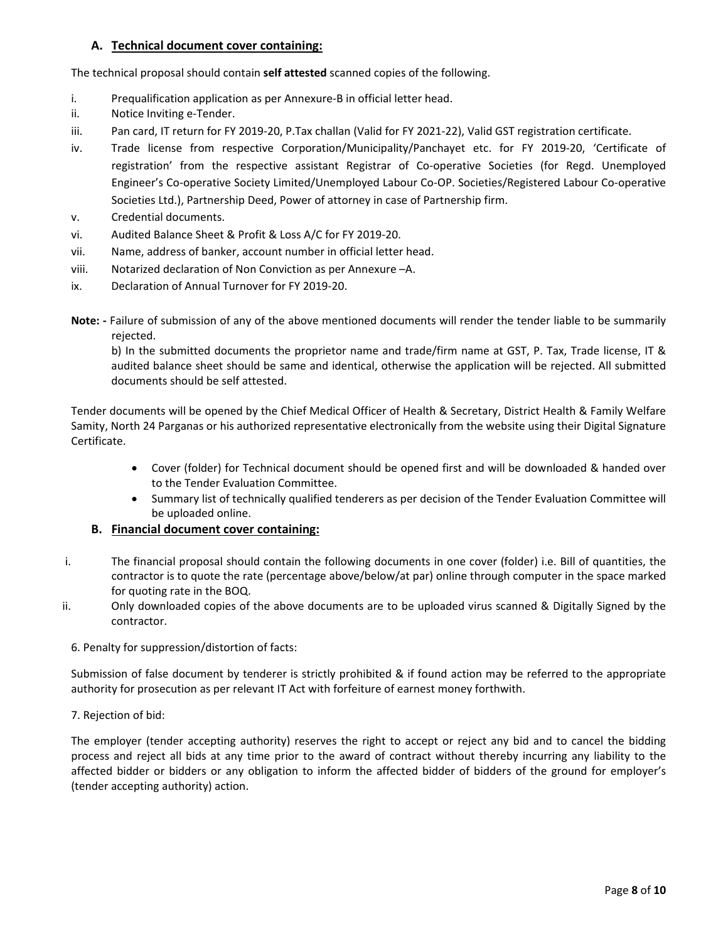### **A. Technical document cover containing:**

The technical proposal should contain **self attested** scanned copies of the following.

- i. Prequalification application as per Annexure‐B in official letter head.
- ii. Notice Inviting e‐Tender.
- iii. Pan card, IT return for FY 2019-20, P.Tax challan (Valid for FY 2021-22), Valid GST registration certificate.
- iv. Trade license from respective Corporation/Municipality/Panchayet etc. for FY 2019‐20, 'Certificate of registration' from the respective assistant Registrar of Co‐operative Societies (for Regd. Unemployed Engineer's Co‐operative Society Limited/Unemployed Labour Co‐OP. Societies/Registered Labour Co‐operative Societies Ltd.), Partnership Deed, Power of attorney in case of Partnership firm.
- v. Credential documents.
- vi. Audited Balance Sheet & Profit & Loss A/C for FY 2019‐20.
- vii. Name, address of banker, account number in official letter head.
- viii. Notarized declaration of Non Conviction as per Annexure –A.
- ix. Declaration of Annual Turnover for FY 2019‐20.
- **Note: ‐** Failure of submission of any of the above mentioned documents will render the tender liable to be summarily rejected.

b) In the submitted documents the proprietor name and trade/firm name at GST, P. Tax, Trade license, IT & audited balance sheet should be same and identical, otherwise the application will be rejected. All submitted documents should be self attested.

Tender documents will be opened by the Chief Medical Officer of Health & Secretary, District Health & Family Welfare Samity, North 24 Parganas or his authorized representative electronically from the website using their Digital Signature Certificate.

- Cover (folder) for Technical document should be opened first and will be downloaded & handed over to the Tender Evaluation Committee.
- Summary list of technically qualified tenderers as per decision of the Tender Evaluation Committee will be uploaded online.

#### **B. Financial document cover containing:**

- i. The financial proposal should contain the following documents in one cover (folder) i.e. Bill of quantities, the contractor is to quote the rate (percentage above/below/at par) online through computer in the space marked for quoting rate in the BOQ.
- ii. Only downloaded copies of the above documents are to be uploaded virus scanned & Digitally Signed by the contractor.
	- 6. Penalty for suppression/distortion of facts:

Submission of false document by tenderer is strictly prohibited & if found action may be referred to the appropriate authority for prosecution as per relevant IT Act with forfeiture of earnest money forthwith.

7. Rejection of bid:

The employer (tender accepting authority) reserves the right to accept or reject any bid and to cancel the bidding process and reject all bids at any time prior to the award of contract without thereby incurring any liability to the affected bidder or bidders or any obligation to inform the affected bidder of bidders of the ground for employer's (tender accepting authority) action.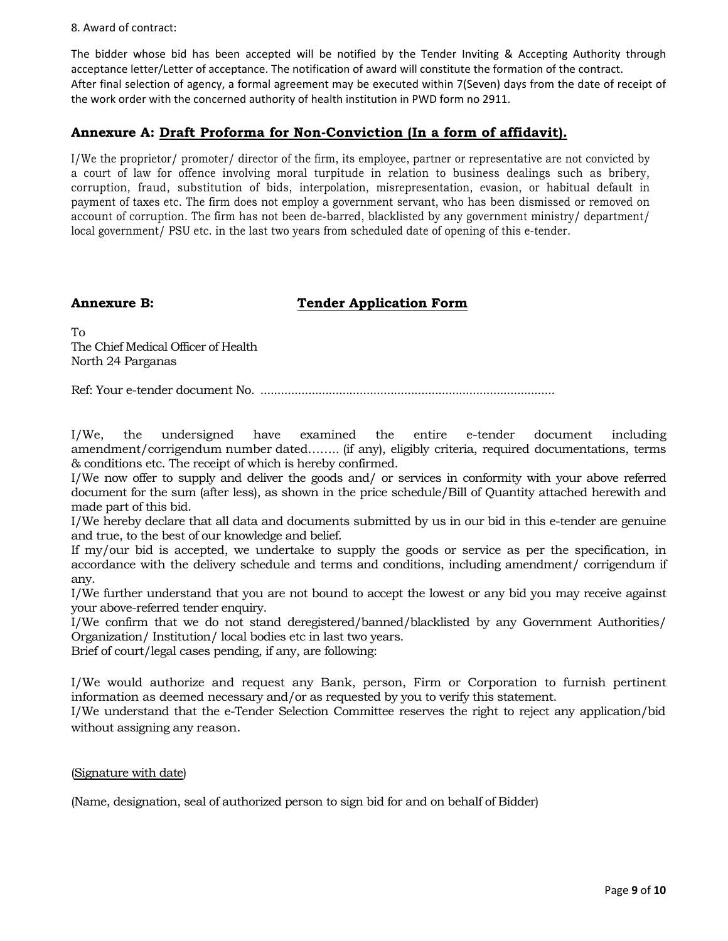8. Award of contract:

The bidder whose bid has been accepted will be notified by the Tender Inviting & Accepting Authority through acceptance letter/Letter of acceptance. The notification of award will constitute the formation of the contract. After final selection of agency, a formal agreement may be executed within 7(Seven) days from the date of receipt of the work order with the concerned authority of health institution in PWD form no 2911.

#### **Annexure A: Draft Proforma for Non-Conviction (In a form of affidavit).**

I/We the proprietor/ promoter/ director of the firm, its employee, partner or representative are not convicted by a court of law for offence involving moral turpitude in relation to business dealings such as bribery, corruption, fraud, substitution of bids, interpolation, misrepresentation, evasion, or habitual default in payment of taxes etc. The firm does not employ a government servant, who has been dismissed or removed on account of corruption. The firm has not been de-barred, blacklisted by any government ministry/ department/ local government/ PSU etc. in the last two years from scheduled date of opening of this e-tender.

### **Annexure B:** Tender Application Form

To The Chief Medical Officer of Health North 24 Parganas

Ref: Your e-tender document No. ......................................................................................

I/We, the undersigned have examined the entire e-tender document including amendment/corrigendum number dated…….. (if any), eligibly criteria, required documentations, terms & conditions etc. The receipt of which is hereby confirmed.

I/We now offer to supply and deliver the goods and/ or services in conformity with your above referred document for the sum (after less), as shown in the price schedule/Bill of Quantity attached herewith and made part of this bid.

I/We hereby declare that all data and documents submitted by us in our bid in this e-tender are genuine and true, to the best of our knowledge and belief.

If my/our bid is accepted, we undertake to supply the goods or service as per the specification, in accordance with the delivery schedule and terms and conditions, including amendment/ corrigendum if any.

I/We further understand that you are not bound to accept the lowest or any bid you may receive against your above-referred tender enquiry.

I/We confirm that we do not stand deregistered/banned/blacklisted by any Government Authorities/ Organization/ Institution/ local bodies etc in last two years.

Brief of court/legal cases pending, if any, are following:

I/We would authorize and request any Bank, person, Firm or Corporation to furnish pertinent information as deemed necessary and/or as requested by you to verify this statement.

I/We understand that the e-Tender Selection Committee reserves the right to reject any application/bid without assigning any reason.

#### (Signature with date)

(Name, designation, seal of authorized person to sign bid for and on behalf of Bidder)